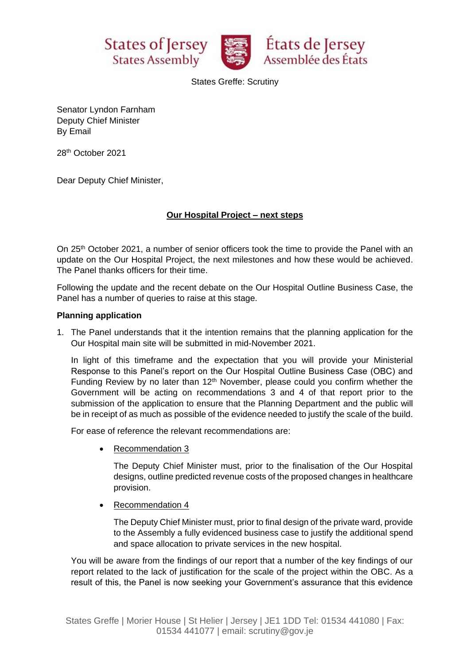





States Greffe: Scrutiny

Senator Lyndon Farnham Deputy Chief Minister By Email

28 th October 2021

Dear Deputy Chief Minister,

# **Our Hospital Project – next steps**

On 25<sup>th</sup> October 2021, a number of senior officers took the time to provide the Panel with an update on the Our Hospital Project, the next milestones and how these would be achieved. The Panel thanks officers for their time.

Following the update and the recent debate on the Our Hospital Outline Business Case, the Panel has a number of queries to raise at this stage.

## **Planning application**

1. The Panel understands that it the intention remains that the planning application for the Our Hospital main site will be submitted in mid-November 2021.

In light of this timeframe and the expectation that you will provide your Ministerial Response to this Panel's report on the Our Hospital Outline Business Case (OBC) and Funding Review by no later than  $12<sup>th</sup>$  November, please could you confirm whether the Government will be acting on recommendations 3 and 4 of that report prior to the submission of the application to ensure that the Planning Department and the public will be in receipt of as much as possible of the evidence needed to justify the scale of the build.

For ease of reference the relevant recommendations are:

• Recommendation 3

The Deputy Chief Minister must, prior to the finalisation of the Our Hospital designs, outline predicted revenue costs of the proposed changes in healthcare provision.

• Recommendation 4

The Deputy Chief Minister must, prior to final design of the private ward, provide to the Assembly a fully evidenced business case to justify the additional spend and space allocation to private services in the new hospital.

You will be aware from the findings of our report that a number of the key findings of our report related to the lack of justification for the scale of the project within the OBC. As a result of this, the Panel is now seeking your Government's assurance that this evidence